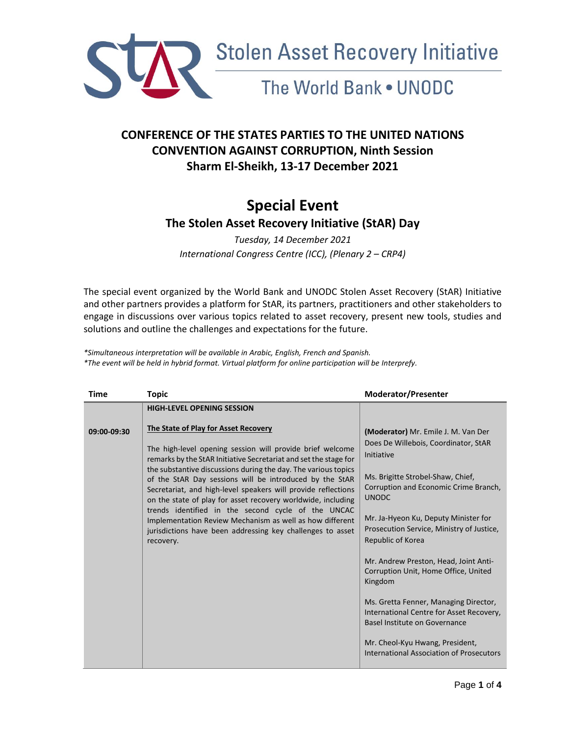

# The World Bank . UNODC

### **CONFERENCE OF THE STATES PARTIES TO THE UNITED NATIONS CONVENTION AGAINST CORRUPTION, Ninth Session Sharm El-Sheikh, 13-17 December 2021**

## **Special Event The Stolen Asset Recovery Initiative (StAR) Day**

*Tuesday, 14 December 2021 International Congress Centre (ICC), (Plenary 2 – CRP4)* 

The special event organized by the World Bank and UNODC Stolen Asset Recovery (StAR) Initiative and other partners provides a platform for StAR, its partners, practitioners and other stakeholders to engage in discussions over various topics related to asset recovery, present new tools, studies and solutions and outline the challenges and expectations for the future.

*\*Simultaneous interpretation will be available in Arabic, English, French and Spanish. \*The event will be held in hybrid format. Virtual platform for online participation will be Interprefy.* 

| <b>Time</b> | <b>Topic</b>                                                                                                                                                                                                                                                                                                                                                                                                                                                                                                                                                                                                                     | <b>Moderator/Presenter</b>                                                                                                                                                                                                                                                                                                                                                                                                                                                                                                 |
|-------------|----------------------------------------------------------------------------------------------------------------------------------------------------------------------------------------------------------------------------------------------------------------------------------------------------------------------------------------------------------------------------------------------------------------------------------------------------------------------------------------------------------------------------------------------------------------------------------------------------------------------------------|----------------------------------------------------------------------------------------------------------------------------------------------------------------------------------------------------------------------------------------------------------------------------------------------------------------------------------------------------------------------------------------------------------------------------------------------------------------------------------------------------------------------------|
|             | <b>HIGH-LEVEL OPENING SESSION</b>                                                                                                                                                                                                                                                                                                                                                                                                                                                                                                                                                                                                |                                                                                                                                                                                                                                                                                                                                                                                                                                                                                                                            |
| 09:00-09:30 | The State of Play for Asset Recovery<br>The high-level opening session will provide brief welcome<br>remarks by the StAR Initiative Secretariat and set the stage for<br>the substantive discussions during the day. The various topics<br>of the StAR Day sessions will be introduced by the StAR<br>Secretariat, and high-level speakers will provide reflections<br>on the state of play for asset recovery worldwide, including<br>trends identified in the second cycle of the UNCAC<br>Implementation Review Mechanism as well as how different<br>jurisdictions have been addressing key challenges to asset<br>recovery. | (Moderator) Mr. Emile J. M. Van Der<br>Does De Willebois, Coordinator, StAR<br>Initiative<br>Ms. Brigitte Strobel-Shaw, Chief,<br>Corruption and Economic Crime Branch,<br><b>UNODC</b><br>Mr. Ja-Hyeon Ku, Deputy Minister for<br>Prosecution Service, Ministry of Justice,<br>Republic of Korea<br>Mr. Andrew Preston, Head, Joint Anti-<br>Corruption Unit, Home Office, United<br>Kingdom<br>Ms. Gretta Fenner, Managing Director,<br>International Centre for Asset Recovery,<br><b>Basel Institute on Governance</b> |
|             |                                                                                                                                                                                                                                                                                                                                                                                                                                                                                                                                                                                                                                  | Mr. Cheol-Kyu Hwang, President,<br>International Association of Prosecutors                                                                                                                                                                                                                                                                                                                                                                                                                                                |
|             |                                                                                                                                                                                                                                                                                                                                                                                                                                                                                                                                                                                                                                  |                                                                                                                                                                                                                                                                                                                                                                                                                                                                                                                            |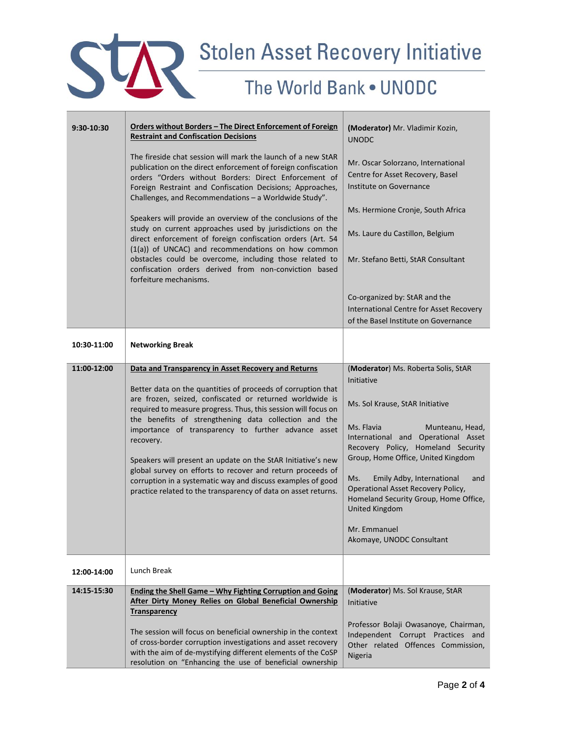

| 9:30-10:30  | Orders without Borders - The Direct Enforcement of Foreign<br><b>Restraint and Confiscation Decisions</b>                                                                                                                                                                                                                                                                                                                                                                                                                                                                              | (Moderator) Mr. Vladimir Kozin,<br><b>UNODC</b>                                                                                                                                                                                                                                                                                                                                            |
|-------------|----------------------------------------------------------------------------------------------------------------------------------------------------------------------------------------------------------------------------------------------------------------------------------------------------------------------------------------------------------------------------------------------------------------------------------------------------------------------------------------------------------------------------------------------------------------------------------------|--------------------------------------------------------------------------------------------------------------------------------------------------------------------------------------------------------------------------------------------------------------------------------------------------------------------------------------------------------------------------------------------|
|             | The fireside chat session will mark the launch of a new StAR<br>publication on the direct enforcement of foreign confiscation<br>orders "Orders without Borders: Direct Enforcement of<br>Foreign Restraint and Confiscation Decisions; Approaches,<br>Challenges, and Recommendations - a Worldwide Study".                                                                                                                                                                                                                                                                           | Mr. Oscar Solorzano, International<br>Centre for Asset Recovery, Basel<br>Institute on Governance                                                                                                                                                                                                                                                                                          |
|             | Speakers will provide an overview of the conclusions of the                                                                                                                                                                                                                                                                                                                                                                                                                                                                                                                            | Ms. Hermione Cronje, South Africa                                                                                                                                                                                                                                                                                                                                                          |
|             | study on current approaches used by jurisdictions on the<br>direct enforcement of foreign confiscation orders (Art. 54<br>(1(a)) of UNCAC) and recommendations on how common                                                                                                                                                                                                                                                                                                                                                                                                           | Ms. Laure du Castillon, Belgium                                                                                                                                                                                                                                                                                                                                                            |
|             | obstacles could be overcome, including those related to<br>confiscation orders derived from non-conviction based<br>forfeiture mechanisms.                                                                                                                                                                                                                                                                                                                                                                                                                                             | Mr. Stefano Betti, StAR Consultant                                                                                                                                                                                                                                                                                                                                                         |
|             |                                                                                                                                                                                                                                                                                                                                                                                                                                                                                                                                                                                        | Co-organized by: StAR and the<br>International Centre for Asset Recovery<br>of the Basel Institute on Governance                                                                                                                                                                                                                                                                           |
| 10:30-11:00 | <b>Networking Break</b>                                                                                                                                                                                                                                                                                                                                                                                                                                                                                                                                                                |                                                                                                                                                                                                                                                                                                                                                                                            |
| 11:00-12:00 | Data and Transparency in Asset Recovery and Returns                                                                                                                                                                                                                                                                                                                                                                                                                                                                                                                                    | (Moderator) Ms. Roberta Solis, StAR<br>Initiative                                                                                                                                                                                                                                                                                                                                          |
|             | Better data on the quantities of proceeds of corruption that<br>are frozen, seized, confiscated or returned worldwide is<br>required to measure progress. Thus, this session will focus on<br>the benefits of strengthening data collection and the<br>importance of transparency to further advance asset<br>recovery.<br>Speakers will present an update on the StAR Initiative's new<br>global survey on efforts to recover and return proceeds of<br>corruption in a systematic way and discuss examples of good<br>practice related to the transparency of data on asset returns. | Ms. Sol Krause, StAR Initiative<br>Ms. Flavia<br>Munteanu, Head,<br>International and Operational Asset<br>Recovery Policy, Homeland Security<br>Group, Home Office, United Kingdom<br>Ms.<br>Emily Adby, International<br>and<br><b>Operational Asset Recovery Policy,</b><br>Homeland Security Group, Home Office,<br><b>United Kingdom</b><br>Mr. Emmanuel<br>Akomaye, UNODC Consultant |
| 12:00-14:00 | Lunch Break                                                                                                                                                                                                                                                                                                                                                                                                                                                                                                                                                                            |                                                                                                                                                                                                                                                                                                                                                                                            |
| 14:15-15:30 | Ending the Shell Game - Why Fighting Corruption and Going<br>After Dirty Money Relies on Global Beneficial Ownership<br><b>Transparency</b>                                                                                                                                                                                                                                                                                                                                                                                                                                            | (Moderator) Ms. Sol Krause, StAR<br>Initiative                                                                                                                                                                                                                                                                                                                                             |
|             | The session will focus on beneficial ownership in the context<br>of cross-border corruption investigations and asset recovery<br>with the aim of de-mystifying different elements of the CoSP<br>resolution on "Enhancing the use of beneficial ownership                                                                                                                                                                                                                                                                                                                              | Professor Bolaji Owasanoye, Chairman,<br>Independent Corrupt Practices and<br>Other related Offences Commission,<br>Nigeria                                                                                                                                                                                                                                                                |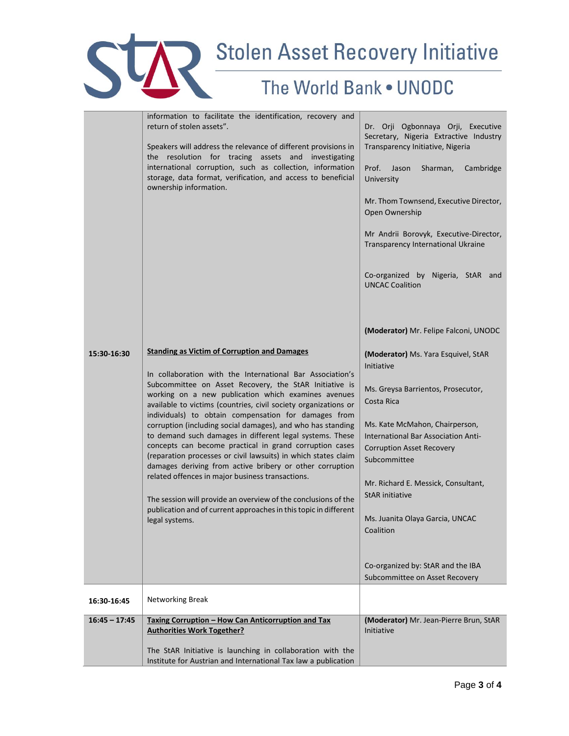

|                 | information to facilitate the identification, recovery and<br>return of stolen assets".<br>Speakers will address the relevance of different provisions in<br>the resolution for tracing assets and investigating<br>international corruption, such as collection, information<br>storage, data format, verification, and access to beneficial<br>ownership information.                                                                                                                                                                                                                                                                                                                                                                                                                                                                                                                      | Dr. Orji Ogbonnaya Orji, Executive<br>Secretary, Nigeria Extractive Industry<br>Transparency Initiative, Nigeria<br>Prof.<br>Jason<br>Sharman,<br>Cambridge<br>University<br>Mr. Thom Townsend, Executive Director,<br>Open Ownership<br>Mr Andrii Borovyk, Executive-Director,<br>Transparency International Ukraine<br>Co-organized by Nigeria, StAR and<br><b>UNCAC Coalition</b>                                                                                |
|-----------------|----------------------------------------------------------------------------------------------------------------------------------------------------------------------------------------------------------------------------------------------------------------------------------------------------------------------------------------------------------------------------------------------------------------------------------------------------------------------------------------------------------------------------------------------------------------------------------------------------------------------------------------------------------------------------------------------------------------------------------------------------------------------------------------------------------------------------------------------------------------------------------------------|---------------------------------------------------------------------------------------------------------------------------------------------------------------------------------------------------------------------------------------------------------------------------------------------------------------------------------------------------------------------------------------------------------------------------------------------------------------------|
| 15:30-16:30     | <b>Standing as Victim of Corruption and Damages</b><br>In collaboration with the International Bar Association's<br>Subcommittee on Asset Recovery, the StAR Initiative is<br>working on a new publication which examines avenues<br>available to victims (countries, civil society organizations or<br>individuals) to obtain compensation for damages from<br>corruption (including social damages), and who has standing<br>to demand such damages in different legal systems. These<br>concepts can become practical in grand corruption cases<br>(reparation processes or civil lawsuits) in which states claim<br>damages deriving from active bribery or other corruption<br>related offences in major business transactions.<br>The session will provide an overview of the conclusions of the<br>publication and of current approaches in this topic in different<br>legal systems. | (Moderator) Mr. Felipe Falconi, UNODC<br>(Moderator) Ms. Yara Esquivel, StAR<br>Initiative<br>Ms. Greysa Barrientos, Prosecutor,<br>Costa Rica<br>Ms. Kate McMahon, Chairperson,<br>International Bar Association Anti-<br><b>Corruption Asset Recovery</b><br>Subcommittee<br>Mr. Richard E. Messick, Consultant,<br><b>StAR</b> initiative<br>Ms. Juanita Olaya Garcia, UNCAC<br>Coalition<br>Co-organized by: StAR and the IBA<br>Subcommittee on Asset Recovery |
| 16:30-16:45     | <b>Networking Break</b>                                                                                                                                                                                                                                                                                                                                                                                                                                                                                                                                                                                                                                                                                                                                                                                                                                                                      |                                                                                                                                                                                                                                                                                                                                                                                                                                                                     |
| $16:45 - 17:45$ | Taxing Corruption - How Can Anticorruption and Tax<br><b>Authorities Work Together?</b><br>The StAR Initiative is launching in collaboration with the<br>Institute for Austrian and International Tax law a publication                                                                                                                                                                                                                                                                                                                                                                                                                                                                                                                                                                                                                                                                      | (Moderator) Mr. Jean-Pierre Brun, StAR<br>Initiative                                                                                                                                                                                                                                                                                                                                                                                                                |